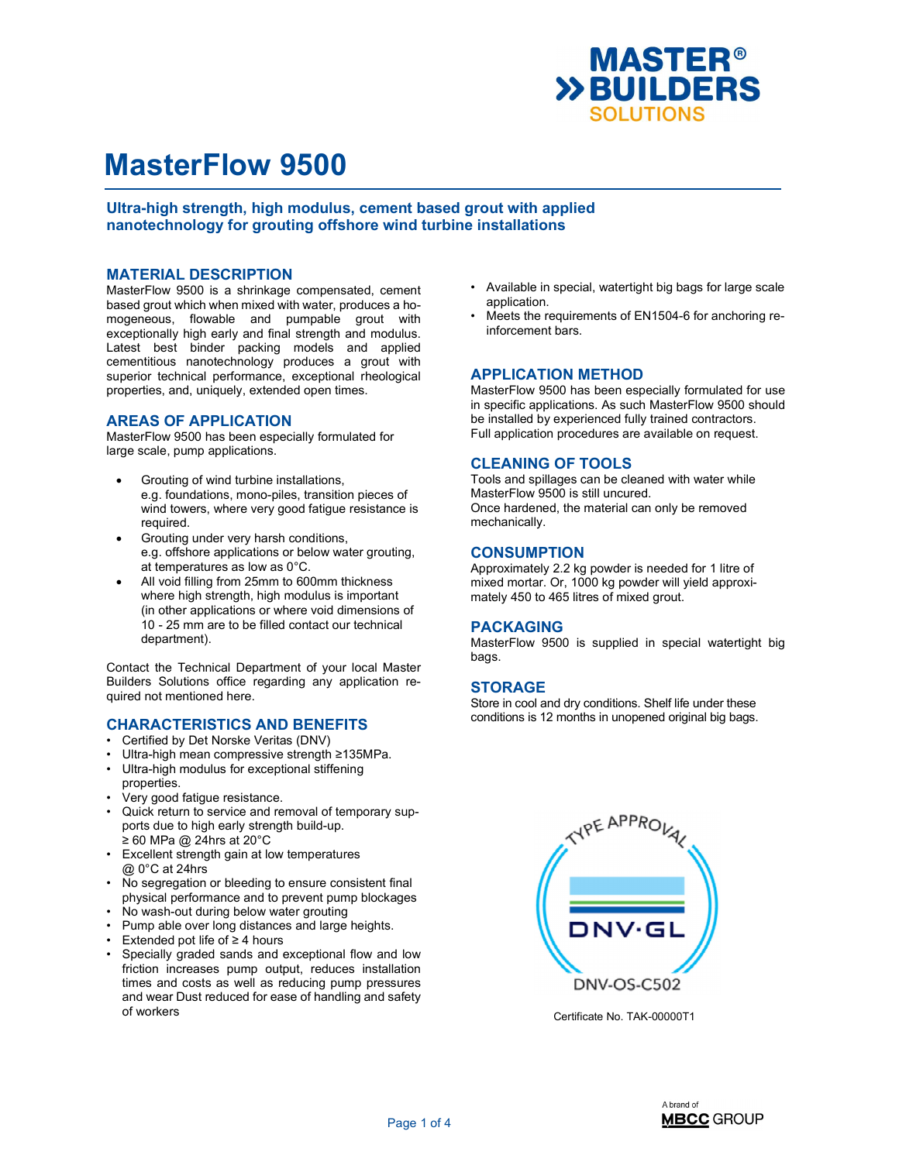

Ultra-high strength, high modulus, cement based grout with applied nanotechnology for grouting offshore wind turbine installations

### MATERIAL DESCRIPTION

MasterFlow 9500 is a shrinkage compensated, cement based grout which when mixed with water, produces a homogeneous, flowable and pumpable grout with exceptionally high early and final strength and modulus. Latest best binder packing models and applied cementitious nanotechnology produces a grout with superior technical performance, exceptional rheological properties, and, uniquely, extended open times.

### AREAS OF APPLICATION

MasterFlow 9500 has been especially formulated for large scale, pump applications.

- Grouting of wind turbine installations, e.g. foundations, mono-piles, transition pieces of wind towers, where very good fatigue resistance is required.
- Grouting under very harsh conditions, e.g. offshore applications or below water grouting, at temperatures as low as 0°C.
- All void filling from 25mm to 600mm thickness where high strength, high modulus is important (in other applications or where void dimensions of 10 - 25 mm are to be filled contact our technical department).

Contact the Technical Department of your local Master Builders Solutions office regarding any application required not mentioned here.

#### CHARACTERISTICS AND BENEFITS

- Certified by Det Norske Veritas (DNV)
- Ultra-high mean compressive strength ≥135MPa.
- Ultra-high modulus for exceptional stiffening properties.
- Very good fatigue resistance.
- Quick return to service and removal of temporary supports due to high early strength build-up. ≥ 60 MPa @ 24hrs at 20°C
- Excellent strength gain at low temperatures @ 0°C at 24hrs
- No segregation or bleeding to ensure consistent final physical performance and to prevent pump blockages
- No wash-out during below water grouting
- Pump able over long distances and large heights.
- Extended pot life of ≥ 4 hours
- Specially graded sands and exceptional flow and low friction increases pump output, reduces installation times and costs as well as reducing pump pressures and wear Dust reduced for ease of handling and safety of workers
- Available in special, watertight big bags for large scale application.
- Meets the requirements of EN1504-6 for anchoring reinforcement bars.

### APPLICATION METHOD

MasterFlow 9500 has been especially formulated for use in specific applications. As such MasterFlow 9500 should be installed by experienced fully trained contractors. Full application procedures are available on request.

## CLEANING OF TOOLS

Tools and spillages can be cleaned with water while MasterFlow 9500 is still uncured. Once hardened, the material can only be removed mechanically.

### **CONSUMPTION**

Approximately 2.2 kg powder is needed for 1 litre of mixed mortar. Or, 1000 kg powder will yield approximately 450 to 465 litres of mixed grout.

#### PACKAGING

MasterFlow 9500 is supplied in special watertight big bags.

### **STORAGE**

Store in cool and dry conditions. Shelf life under these conditions is 12 months in unopened original big bags.



Certificate No. TAK-00000T1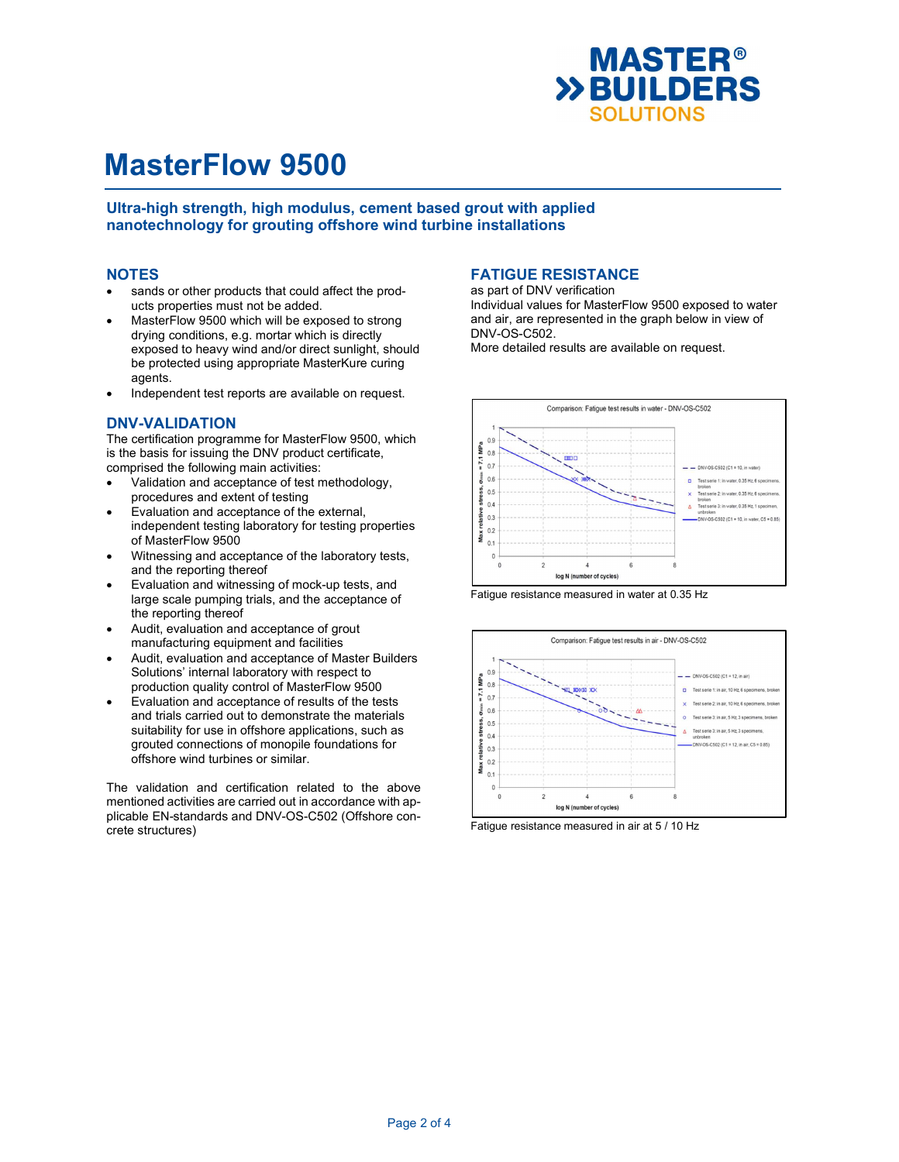

Ultra-high strength, high modulus, cement based grout with applied nanotechnology for grouting offshore wind turbine installations

### NOTES

- sands or other products that could affect the products properties must not be added.
- MasterFlow 9500 which will be exposed to strong drying conditions, e.g. mortar which is directly exposed to heavy wind and/or direct sunlight, should be protected using appropriate MasterKure curing agents.
- Independent test reports are available on request.

## DNV-VALIDATION

The certification programme for MasterFlow 9500, which is the basis for issuing the DNV product certificate, comprised the following main activities:

- Validation and acceptance of test methodology, procedures and extent of testing
- Evaluation and acceptance of the external, independent testing laboratory for testing properties of MasterFlow 9500
- Witnessing and acceptance of the laboratory tests, and the reporting thereof
- Evaluation and witnessing of mock-up tests, and large scale pumping trials, and the acceptance of the reporting thereof
- Audit, evaluation and acceptance of grout manufacturing equipment and facilities
- Audit, evaluation and acceptance of Master Builders Solutions' internal laboratory with respect to production quality control of MasterFlow 9500
- Evaluation and acceptance of results of the tests and trials carried out to demonstrate the materials suitability for use in offshore applications, such as grouted connections of monopile foundations for offshore wind turbines or similar.

The validation and certification related to the above mentioned activities are carried out in accordance with applicable EN-standards and DNV-OS-C502 (Offshore concrete structures)

# FATIGUE RESISTANCE

as part of DNV verification Individual values for MasterFlow 9500 exposed to water and air, are represented in the graph below in view of DNV-OS-C502.

More detailed results are available on request.







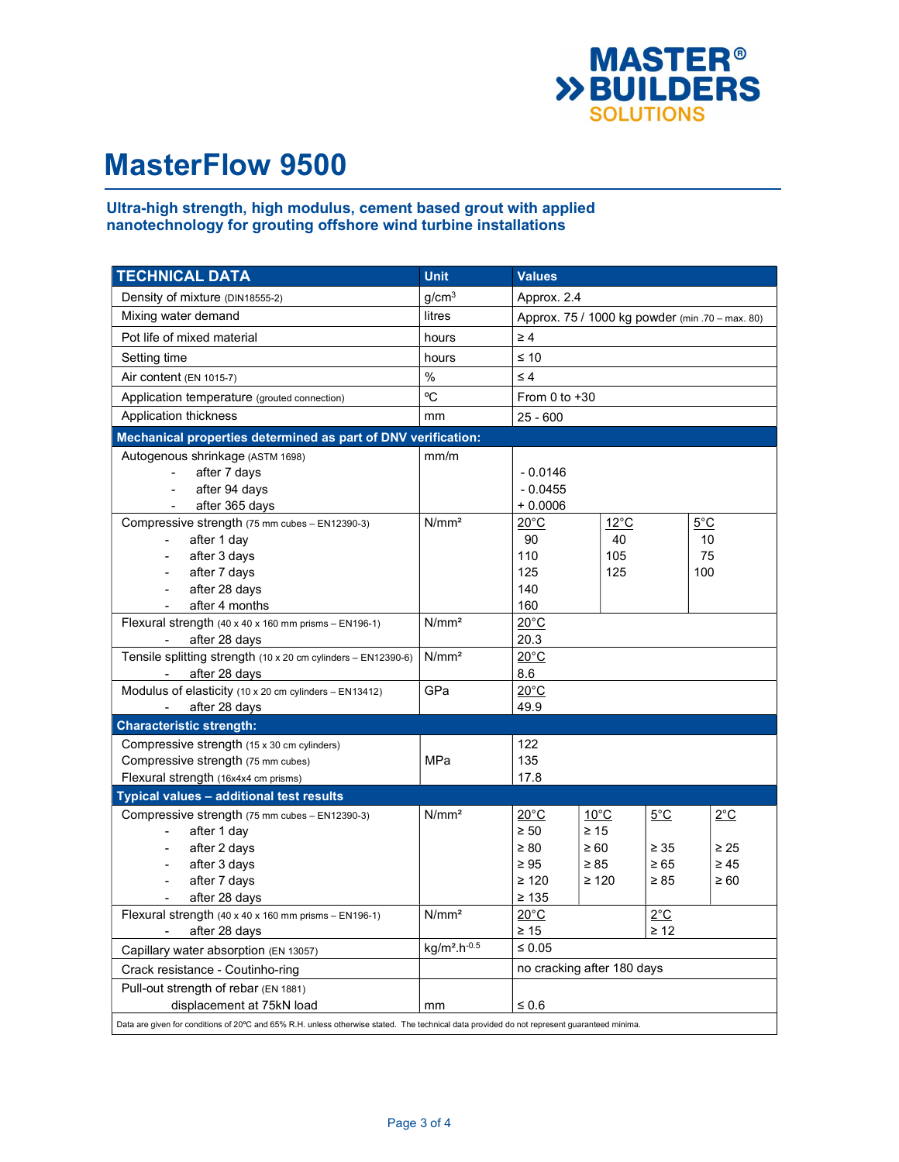

# Ultra-high strength, high modulus, cement based grout with applied nanotechnology for grouting offshore wind turbine installations

| <b>TECHNICAL DATA</b>                                                                                                                       | <b>Unit</b>       | Values                                          |                |           |               |
|---------------------------------------------------------------------------------------------------------------------------------------------|-------------------|-------------------------------------------------|----------------|-----------|---------------|
| Density of mixture (DIN18555-2)                                                                                                             | q/cm <sup>3</sup> | Approx. 2.4                                     |                |           |               |
| Mixing water demand                                                                                                                         | litres            | Approx. 75 / 1000 kg powder (min .70 - max. 80) |                |           |               |
| Pot life of mixed material                                                                                                                  | hours             | $\geq 4$                                        |                |           |               |
| Setting time                                                                                                                                | hours             | $\leq 10$                                       |                |           |               |
| Air content (EN 1015-7)                                                                                                                     | $\%$              | $\leq 4$                                        |                |           |               |
| Application temperature (grouted connection)                                                                                                | °C                | From 0 to $+30$                                 |                |           |               |
| Application thickness                                                                                                                       | mm                | $25 - 600$                                      |                |           |               |
| Mechanical properties determined as part of DNV verification:                                                                               |                   |                                                 |                |           |               |
| Autogenous shrinkage (ASTM 1698)                                                                                                            | mm/m              |                                                 |                |           |               |
| after 7 days<br>$\blacksquare$                                                                                                              |                   | $-0.0146$                                       |                |           |               |
| after 94 days<br>$\blacksquare$                                                                                                             |                   | $-0.0455$                                       |                |           |               |
| after 365 days                                                                                                                              |                   | $+0.0006$                                       |                |           |               |
| Compressive strength (75 mm cubes - EN12390-3)                                                                                              | N/mm <sup>2</sup> | $20^{\circ}$ C                                  | $12^{\circ}$ C |           | $5^{\circ}$ C |
| after 1 day                                                                                                                                 |                   | 90                                              | 40             |           | 10            |
| after 3 days                                                                                                                                |                   | 110                                             | 105            |           | 75            |
| after 7 days                                                                                                                                |                   | 125                                             | 125            |           | 100           |
| after 28 days<br>$\overline{a}$                                                                                                             |                   | 140                                             |                |           |               |
| after 4 months                                                                                                                              |                   | 160                                             |                |           |               |
| Flexural strength (40 x 40 x 160 mm prisms - EN196-1)                                                                                       | N/mm <sup>2</sup> | $20^{\circ}$ C                                  |                |           |               |
| after 28 days                                                                                                                               |                   | 20.3                                            |                |           |               |
| Tensile splitting strength (10 x 20 cm cylinders - EN12390-6)                                                                               | N/mm <sup>2</sup> | $20^{\circ}$ C                                  |                |           |               |
| after 28 days                                                                                                                               |                   | 8.6                                             |                |           |               |
| Modulus of elasticity (10 x 20 cm cylinders - EN13412)                                                                                      | GPa               | $20^{\circ}$ C                                  |                |           |               |
| after 28 days                                                                                                                               |                   | 49.9                                            |                |           |               |
| <b>Characteristic strength:</b>                                                                                                             |                   |                                                 |                |           |               |
| Compressive strength (15 x 30 cm cylinders)                                                                                                 |                   | 122                                             |                |           |               |
| Compressive strength (75 mm cubes)                                                                                                          | MPa               | 135                                             |                |           |               |
| Flexural strength (16x4x4 cm prisms)                                                                                                        |                   | 17.8                                            |                |           |               |
| Typical values - additional test results                                                                                                    |                   |                                                 |                |           |               |
| Compressive strength (75 mm cubes - EN12390-3)                                                                                              | N/mm <sup>2</sup> | $20^{\circ}$ C<br>$10^{\circ}$ C                |                | 5°C       | 2°C           |
| after 1 day                                                                                                                                 |                   | $\geq 50$<br>$\geq 15$                          |                |           |               |
| after 2 days                                                                                                                                |                   | $\geq 80$<br>$\geq 60$                          |                | $\geq 35$ | $\geq 25$     |
| after 3 days                                                                                                                                |                   | $\geq 95$<br>$\geq 85$                          |                | $\geq 65$ | $\geq 45$     |
| after 7 days                                                                                                                                |                   | $\geq 120$<br>$\geq 120$                        |                | $\geq 85$ | $\geq 60$     |
| after 28 days                                                                                                                               |                   | $\geq 135$                                      |                |           |               |
| Flexural strength (40 x 40 x 160 mm prisms - EN196-1)                                                                                       | N/mm <sup>2</sup> | $2^{\circ}C$<br>$20^{\circ}$ C                  |                |           |               |
| after 28 days                                                                                                                               |                   | $\geq 15$<br>$\geq 12$                          |                |           |               |
| Capillary water absorption (EN 13057)                                                                                                       | $kg/m2 h-0.5$     | $\leq 0.05$                                     |                |           |               |
| Crack resistance - Coutinho-ring                                                                                                            |                   | no cracking after 180 days                      |                |           |               |
| Pull-out strength of rebar (EN 1881)                                                                                                        |                   |                                                 |                |           |               |
| displacement at 75kN load                                                                                                                   | mm                | $\leq 0.6$                                      |                |           |               |
| Data are given for conditions of 20°C and 65% R.H. unless otherwise stated. The technical data provided do not represent guaranteed minima. |                   |                                                 |                |           |               |